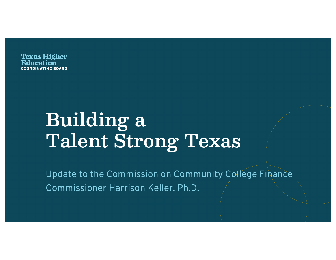**Texas Higher DINATING BOARD** 

# **Building a Talent Strong Texas**

Update to the Commission on Community College Finance Commissioner Harrison Keller, Ph.D.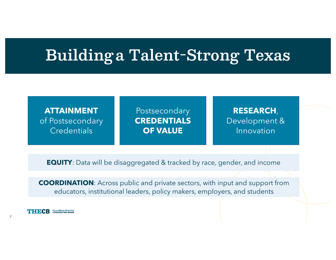### **Buildinga Talent-Strong Texas**

### **ATTAINMENT** of Postsecondary **Credentials**

**PRODUCTION**  TUSISECUNUALY **POSTAGES Postsecondary CREDENTIALS OF VALUE**

#### **PROMOTION AND INCOME** NEJEARUH,<br>Davelaren art <sup>0</sup> Development & **RESEARCH**, Development & Innovation

**EQUITY**: Data will be disaggregated & tracked by race, gender, and income

**COORDINATION**: Across public and private sectors, with input and support from educators, institutional leaders, policy makers, employers, and students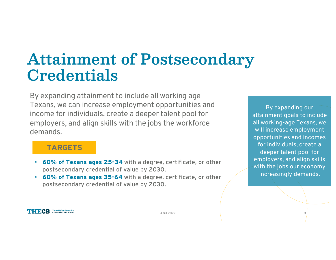## **Attainment of Postsecondary Credentials**

By expanding attainment to include all working age Texans, we can increase employment opportunities and income for individuals, create a deeper talent pool for employers, and align skills with the jobs the workforce demands.

#### TARGETS

- 60% of Texans ages 25-34 with a degree, certificate, or other postsecondary credential of value by 2030.
- 60% of Texans ages 35-64 with a degree, certificate, or other postsecondary credential of value by 2030.

By expanding our attainment goals to include all working-age Texans, we will increase employment opportunities and incomes for individuals, create a deeper talent pool for employers, and align skills with the jobs our economy increasingly demands.

#### **THECB Texas Higher Education**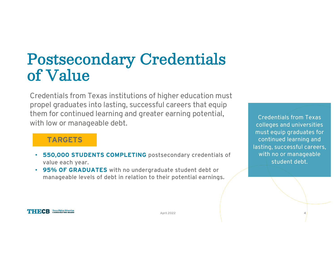### Postsecondary Credentials of Value

Credentials from Texas institutions of higher education must propel graduates into lasting, successful careers that equip them for continued learning and greater earning potential, with low or manageable debt.

### TARGETS

- 550,000 STUDENTS COMPLETING postsecondary credentials of value each year.
- 95% OF GRADUATES with no undergraduate student debt or manageable levels of debt in relation to their potential earnings.

Credentials from Texas colleges and universities must equip graduates for continued learning and lasting, successful careers, with no or manageable student debt.

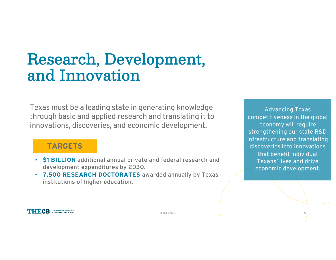### Research, Development, and Innovation

Texas must be a leading state in generating knowledge through basic and applied research and translating it to innovations, discoveries, and economic development.

### TARGETS

- \$1 BILLION additional annual private and federal research and development expenditures by 2030.
- 7,500 RESEARCH DOCTORATES awarded annually by Texas institutions of higher education.

Advancing Texas competitiveness in the global economy will require strengthening our state R&D infrastructure and translating discoveries into innovations that benefit individual Texans' lives and drive economic development.

**THECB Texas Higher Education**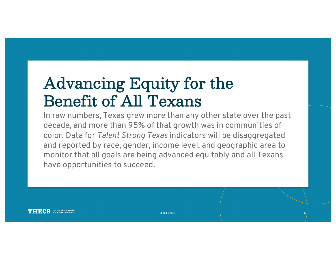# Advancing Equity for the Benefit of All Texans

In raw numbers, Texas grew more than any other state over the past decade, and more than 95% of that growth was in communities of color. Data for *Talent Strong Texas* indicators will be disaggregated and reported by race, gender, income level, and geographic area to monitor that all goals are being advanced equitably and all Texans have opportunities to succeed.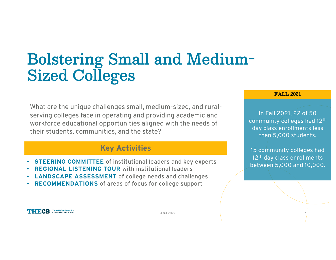## Bolstering Small and Medium-Sized Colleges

What are the unique challenges small, medium-sized, and ruralserving colleges face in operating and providing academic and workforce educational opportunities aligned with the needs of their students, communities, and the state?

### Key Activities

- **STEERING COMMITTEE** of institutional leaders and key experts
- **REGIONAL LISTENING TOUR** with institutional leaders
- **LANDSCAPE ASSESSMENT** of college needs and challenges
- RECOMMENDATIONS of areas of focus for college support

#### FALL 2021

In Fall 2021, 22 of 50 community colleges had 12th day class enrollments less than 5,000 students.

15 community colleges had 12<sup>th</sup> day class enrollments between 5,000 and 10,000.

**THECB Texas Higher Education**